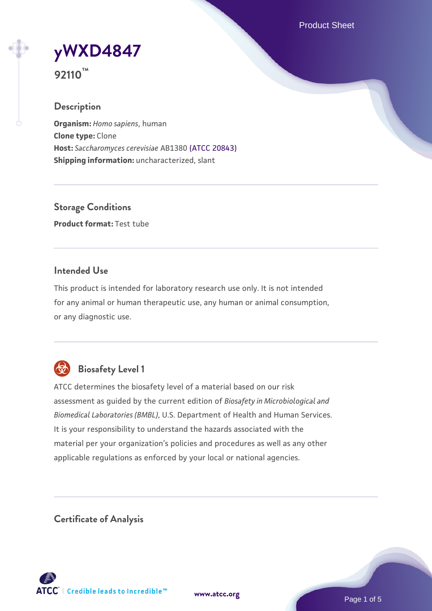Product Sheet

**[yWXD4847](https://www.atcc.org/products/92110)**



# **Description**

**Organism:** *Homo sapiens*, human **Clone type:** Clone **Host:** *Saccharomyces cerevisiae* AB1380 [\(ATCC 20843\)](https://www.atcc.org/products/20843) **Shipping information:** uncharacterized, slant

**Storage Conditions Product format:** Test tube

# **Intended Use**

This product is intended for laboratory research use only. It is not intended for any animal or human therapeutic use, any human or animal consumption, or any diagnostic use.



# **Biosafety Level 1**

ATCC determines the biosafety level of a material based on our risk assessment as guided by the current edition of *Biosafety in Microbiological and Biomedical Laboratories (BMBL)*, U.S. Department of Health and Human Services. It is your responsibility to understand the hazards associated with the material per your organization's policies and procedures as well as any other applicable regulations as enforced by your local or national agencies.

**Certificate of Analysis**

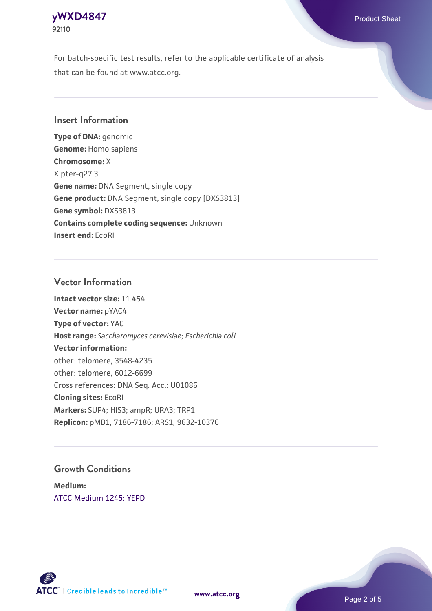# **[yWXD4847](https://www.atcc.org/products/92110)** Product Sheet **92110**

For batch-specific test results, refer to the applicable certificate of analysis that can be found at www.atcc.org.

# **Insert Information**

**Type of DNA:** genomic **Genome:** Homo sapiens **Chromosome:** X X pter-q27.3 **Gene name:** DNA Segment, single copy **Gene product:** DNA Segment, single copy [DXS3813] **Gene symbol:** DXS3813 **Contains complete coding sequence:** Unknown **Insert end:** EcoRI

# **Vector Information**

**Intact vector size:** 11.454 **Vector name:** pYAC4 **Type of vector:** YAC **Host range:** *Saccharomyces cerevisiae*; *Escherichia coli* **Vector information:** other: telomere, 3548-4235 other: telomere, 6012-6699 Cross references: DNA Seq. Acc.: U01086 **Cloning sites:** EcoRI **Markers:** SUP4; HIS3; ampR; URA3; TRP1 **Replicon:** pMB1, 7186-7186; ARS1, 9632-10376

# **Growth Conditions**

**Medium:**  [ATCC Medium 1245: YEPD](https://www.atcc.org/-/media/product-assets/documents/microbial-media-formulations/1/2/4/5/atcc-medium-1245.pdf?rev=705ca55d1b6f490a808a965d5c072196)



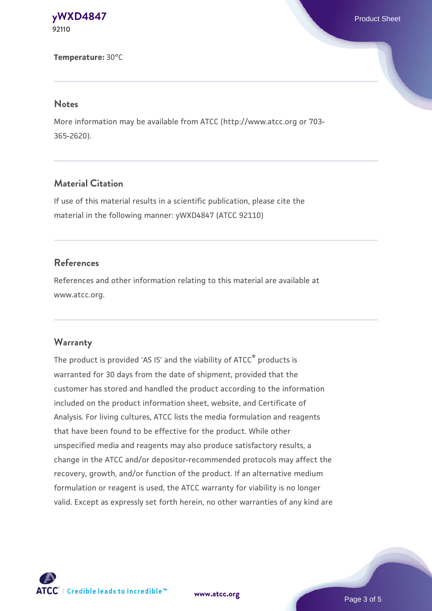**[yWXD4847](https://www.atcc.org/products/92110)** Product Sheet **92110**

**Temperature:** 30°C

#### **Notes**

More information may be available from ATCC (http://www.atcc.org or 703- 365-2620).

# **Material Citation**

If use of this material results in a scientific publication, please cite the material in the following manner: yWXD4847 (ATCC 92110)

#### **References**

References and other information relating to this material are available at www.atcc.org.

#### **Warranty**

The product is provided 'AS IS' and the viability of ATCC® products is warranted for 30 days from the date of shipment, provided that the customer has stored and handled the product according to the information included on the product information sheet, website, and Certificate of Analysis. For living cultures, ATCC lists the media formulation and reagents that have been found to be effective for the product. While other unspecified media and reagents may also produce satisfactory results, a change in the ATCC and/or depositor-recommended protocols may affect the recovery, growth, and/or function of the product. If an alternative medium formulation or reagent is used, the ATCC warranty for viability is no longer valid. Except as expressly set forth herein, no other warranties of any kind are



**[www.atcc.org](http://www.atcc.org)**

Page 3 of 5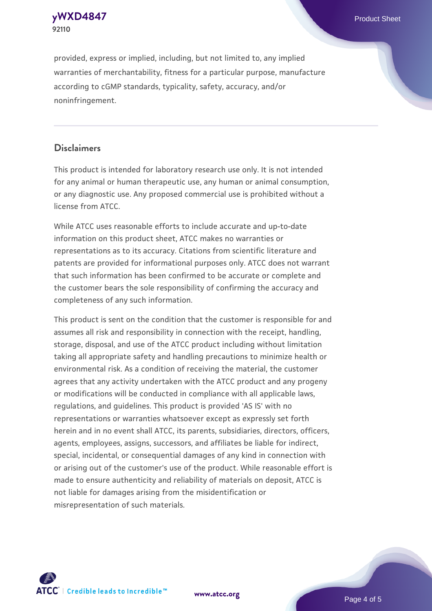**92110**

provided, express or implied, including, but not limited to, any implied warranties of merchantability, fitness for a particular purpose, manufacture according to cGMP standards, typicality, safety, accuracy, and/or noninfringement.

# **Disclaimers**

This product is intended for laboratory research use only. It is not intended for any animal or human therapeutic use, any human or animal consumption, or any diagnostic use. Any proposed commercial use is prohibited without a license from ATCC.

While ATCC uses reasonable efforts to include accurate and up-to-date information on this product sheet, ATCC makes no warranties or representations as to its accuracy. Citations from scientific literature and patents are provided for informational purposes only. ATCC does not warrant that such information has been confirmed to be accurate or complete and the customer bears the sole responsibility of confirming the accuracy and completeness of any such information.

This product is sent on the condition that the customer is responsible for and assumes all risk and responsibility in connection with the receipt, handling, storage, disposal, and use of the ATCC product including without limitation taking all appropriate safety and handling precautions to minimize health or environmental risk. As a condition of receiving the material, the customer agrees that any activity undertaken with the ATCC product and any progeny or modifications will be conducted in compliance with all applicable laws, regulations, and guidelines. This product is provided 'AS IS' with no representations or warranties whatsoever except as expressly set forth herein and in no event shall ATCC, its parents, subsidiaries, directors, officers, agents, employees, assigns, successors, and affiliates be liable for indirect, special, incidental, or consequential damages of any kind in connection with or arising out of the customer's use of the product. While reasonable effort is made to ensure authenticity and reliability of materials on deposit, ATCC is not liable for damages arising from the misidentification or misrepresentation of such materials.



**[www.atcc.org](http://www.atcc.org)**

Page 4 of 5